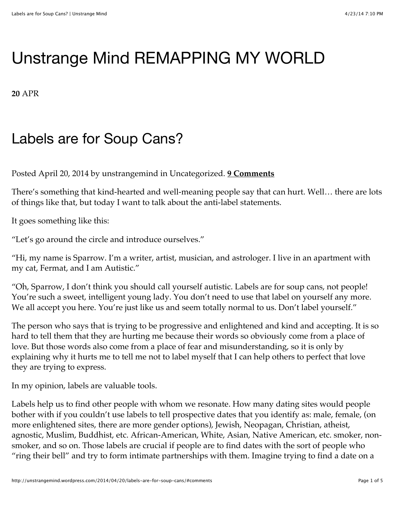## [Unstrange Mind](http://unstrangemind.wordpress.com/) REMAPPING MY WORLD

**20** APR

## Labels are for Soup Cans?

Posted April 20, 2014 by unstrangemind in [Uncategorized.](http://unstrangemind.wordpress.com/category/uncategorized/) **[9 Comments](http://unstrangemind.wordpress.com/2014/04/20/labels-are-for-soup-cans/#comments)**

There's something that kind-hearted and well-meaning people say that can hurt. Well… there are lots of things like that, but today I want to talk about the anti-label statements.

It goes something like this:

"Let's go around the circle and introduce ourselves."

"Hi, my name is Sparrow. I'm a writer, artist, musician, and astrologer. I live in an apartment with my cat, Fermat, and I am Autistic."

"Oh, Sparrow, I don't think you should call yourself autistic. Labels are for soup cans, not people! You're such a sweet, intelligent young lady. You don't need to use that label on yourself any more. We all accept you here. You're just like us and seem totally normal to us. Don't label yourself."

The person who says that is trying to be progressive and enlightened and kind and accepting. It is so hard to tell them that they are hurting me because their words so obviously come from a place of love. But those words also come from a place of fear and misunderstanding, so it is only by explaining why it hurts me to tell me not to label myself that I can help others to perfect that love they are trying to express.

In my opinion, labels are valuable tools.

Labels help us to find other people with whom we resonate. How many dating sites would people bother with if you couldn't use labels to tell prospective dates that you identify as: male, female, (on more enlightened sites, there are more gender options), Jewish, Neopagan, Christian, atheist, agnostic, Muslim, Buddhist, etc. African-American, White, Asian, Native American, etc. smoker, nonsmoker, and so on. Those labels are crucial if people are to find dates with the sort of people who "ring their bell" and try to form intimate partnerships with them. Imagine trying to find a date on a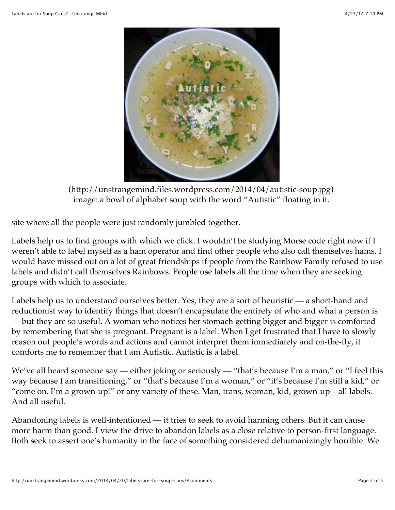

[\(http://unstrangemind.files.wordpress.com/2014/04/autistic-soup.jpg\)](http://unstrangemind.files.wordpress.com/2014/04/autistic-soup.jpg) image: a bowl of alphabet soup with the word "Autistic" floating in it.

site where all the people were just randomly jumbled together.

Labels help us to find groups with which we click. I wouldn't be studying Morse code right now if I weren't able to label myself as a ham operator and find other people who also call themselves hams. I would have missed out on a lot of great friendships if people from the Rainbow Family refused to use labels and didn't call themselves Rainbows. People use labels all the time when they are seeking groups with which to associate.

Labels help us to understand ourselves better. Yes, they are a sort of heuristic — a short-hand and reductionist way to identify things that doesn't encapsulate the entirety of who and what a person is — but they are so useful. A woman who notices her stomach getting bigger and bigger is comforted by remembering that she is pregnant. Pregnant is a label. When I get frustrated that I have to slowly reason out people's words and actions and cannot interpret them immediately and on-the-fly, it comforts me to remember that I am Autistic. Autistic is a label.

We've all heard someone say — either joking or seriously — "that's because I'm a man," or "I feel this way because I am transitioning," or "that's because I'm a woman," or "it's because I'm still a kid," or "come on, I'm a grown-up!" or any variety of these. Man, trans, woman, kid, grown-up – all labels. And all useful.

Abandoning labels is well-intentioned — it tries to seek to avoid harming others. But it can cause more harm than good. I view the drive to abandon labels as a close relative to person-first language. Both seek to assert one's humanity in the face of something considered dehumanizingly horrible. We